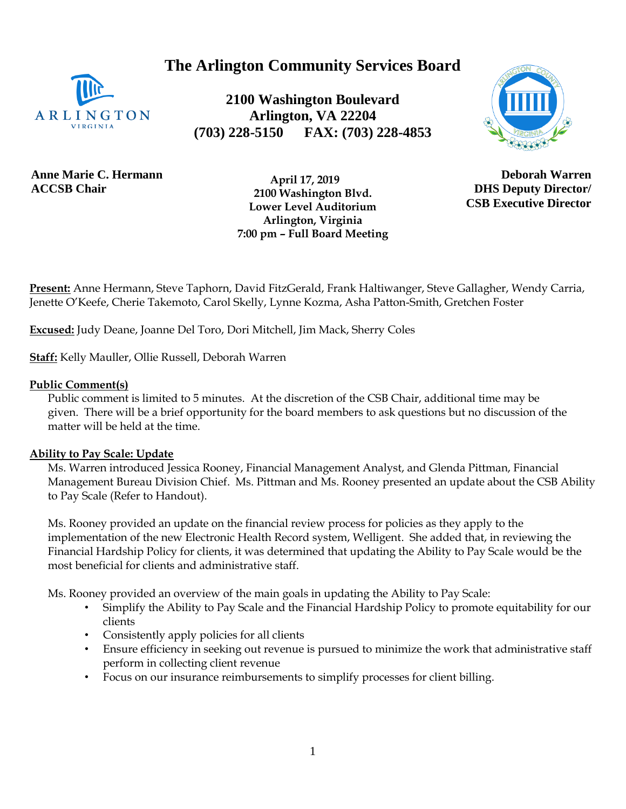**The Arlington Community Services Board**



**2100 Washington Boulevard Arlington, VA 22204 (703) 228-5150 FAX: (703) 228-4853**



**Anne Marie C. Hermann ACCSB Chair**

 **April 17, 2019 2100 Washington Blvd. Lower Level Auditorium Arlington, Virginia 7:00 pm – Full Board Meeting**

**Deborah Warren DHS Deputy Director/ CSB Executive Director**

**Present:** Anne Hermann, Steve Taphorn, David FitzGerald, Frank Haltiwanger, Steve Gallagher, Wendy Carria, Jenette O'Keefe, Cherie Takemoto, Carol Skelly, Lynne Kozma, Asha Patton-Smith, Gretchen Foster

**Excused:** Judy Deane, Joanne Del Toro, Dori Mitchell, Jim Mack, Sherry Coles

**Staff:** Kelly Mauller, Ollie Russell, Deborah Warren

# **Public Comment(s)**

Public comment is limited to 5 minutes. At the discretion of the CSB Chair, additional time may be given. There will be a brief opportunity for the board members to ask questions [but](http://but.no/) no discussion of the matter will be held at the time.

# **Ability to Pay Scale: Update**

Ms. Warren introduced Jessica Rooney, Financial Management Analyst, and Glenda Pittman, Financial Management Bureau Division Chief. Ms. Pittman and Ms. Rooney presented an update about the CSB Ability to Pay Scale (Refer to Handout).

Ms. Rooney provided an update on the financial review process for policies as they apply to the implementation of the new Electronic Health Record system, Welligent. She added that, in reviewing the Financial Hardship Policy for clients, it was determined that updating the Ability to Pay Scale would be the most beneficial for clients and administrative staff.

Ms. Rooney provided an overview of the main goals in updating the Ability to Pay Scale:

- Simplify the Ability to Pay Scale and the Financial Hardship Policy to promote equitability for our clients
- Consistently apply policies for all clients
- Ensure efficiency in seeking out revenue is pursued to minimize the work that administrative staff perform in collecting client revenue
- Focus on our insurance reimbursements to simplify processes for client billing.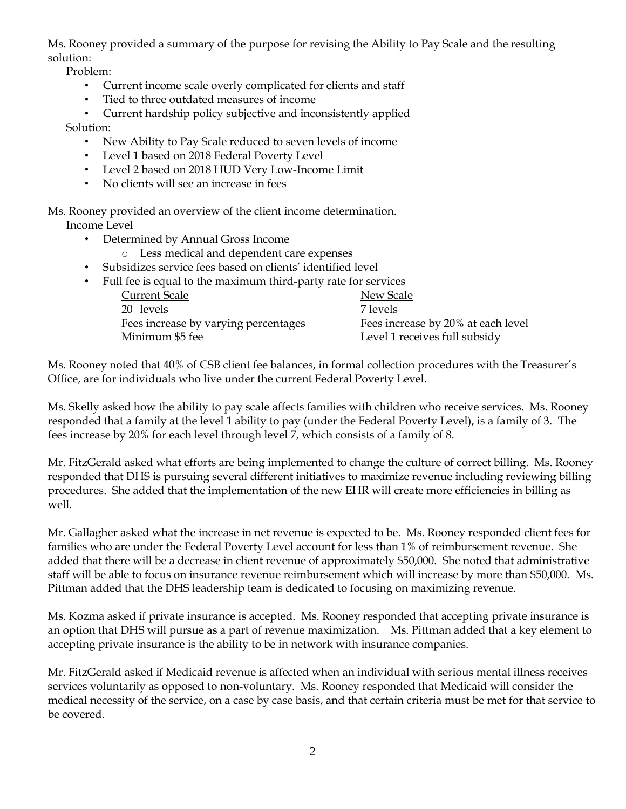Ms. Rooney provided a summary of the purpose for revising the Ability to Pay Scale and the resulting solution:

Problem:

- Current income scale overly complicated for clients and staff
- Tied to three outdated measures of income
- Current hardship policy subjective and inconsistently applied

Solution:

- New Ability to Pay Scale reduced to seven levels of income
- Level 1 based on 2018 Federal Poverty Level
- Level 2 based on 2018 HUD Very Low-Income Limit
- No clients will see an increase in fees
- Ms. Rooney provided an overview of the client income determination. Income Level
	- Determined by Annual Gross Income
		- o Less medical and dependent care expenses
	- Subsidizes service fees based on clients' identified level

| • Full fee is equal to the maximum third-party rate for services |                                    |
|------------------------------------------------------------------|------------------------------------|
| <b>Current Scale</b>                                             | New Scale                          |
| 20 levels                                                        | 7 levels                           |
| Fees increase by varying percentages                             | Fees increase by 20% at each level |
| Minimum \$5 fee                                                  | Level 1 receives full subsidy      |
|                                                                  |                                    |

Ms. Rooney noted that 40% of CSB client fee balances, in formal collection procedures with the Treasurer's Office, are for individuals who live under the current Federal Poverty Level.

Ms. Skelly asked how the ability to pay scale affects families with children who receive services. Ms. Rooney responded that a family at the level 1 ability to pay (under the Federal Poverty Level), is a family of 3. The fees increase by 20% for each level through level 7, which consists of a family of 8.

Mr. FitzGerald asked what efforts are being implemented to change the culture of correct billing. Ms. Rooney responded that DHS is pursuing several different initiatives to maximize revenue including reviewing billing procedures. She added that the implementation of the new EHR will create more efficiencies in billing as well.

Mr. Gallagher asked what the increase in net revenue is expected to be. Ms. Rooney responded client fees for families who are under the Federal Poverty Level account for less than 1% of reimbursement revenue. She added that there will be a decrease in client revenue of approximately \$50,000. She noted that administrative staff will be able to focus on insurance revenue reimbursement which will increase by more than \$50,000. Ms. Pittman added that the DHS leadership team is dedicated to focusing on maximizing revenue.

Ms. Kozma asked if private insurance is accepted. Ms. Rooney responded that accepting private insurance is an option that DHS will pursue as a part of revenue maximization. Ms. Pittman added that a key element to accepting private insurance is the ability to be in network with insurance companies.

Mr. FitzGerald asked if Medicaid revenue is affected when an individual with serious mental illness receives services voluntarily as opposed to non-voluntary. Ms. Rooney responded that Medicaid will consider the medical necessity of the service, on a case by case basis, and that certain criteria must be met for that service to be covered.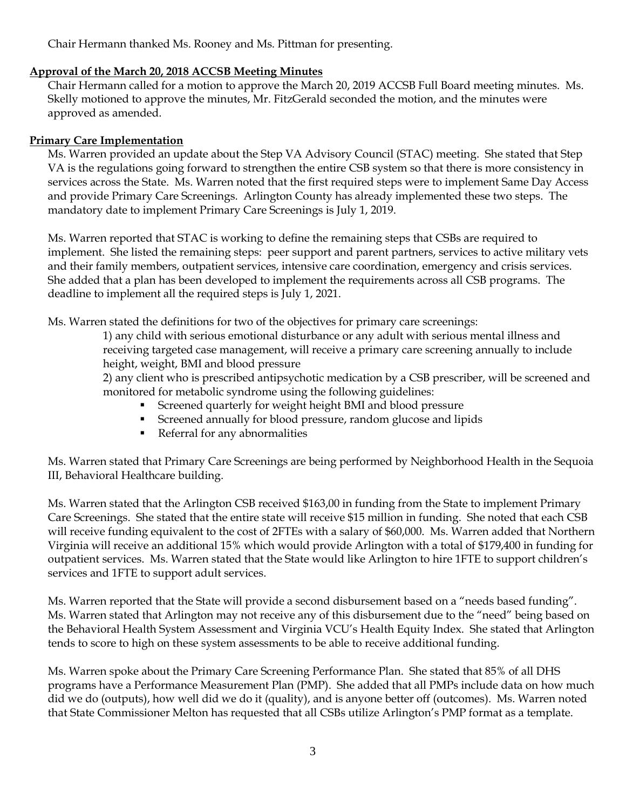Chair Hermann thanked Ms. Rooney and Ms. Pittman for presenting.

# **Approval of the March 20, 2018 ACCSB Meeting Minutes**

Chair Hermann called for a motion to approve the March 20, 2019 ACCSB Full Board meeting minutes. Ms. Skelly motioned to approve the minutes, Mr. FitzGerald seconded the motion, and the minutes were approved as amended.

# **Primary Care Implementation**

Ms. Warren provided an update about the Step VA Advisory Council (STAC) meeting. She stated that Step VA is the regulations going forward to strengthen the entire CSB system so that there is more consistency in services across the State. Ms. Warren noted that the first required steps were to implement Same Day Access and provide Primary Care Screenings. Arlington County has already implemented these two steps. The mandatory date to implement Primary Care Screenings is July 1, 2019.

Ms. Warren reported that STAC is working to define the remaining steps that CSBs are required to implement. She listed the remaining steps: peer support and parent partners, services to active military vets and their family members, outpatient services, intensive care coordination, emergency and crisis services. She added that a plan has been developed to implement the requirements across all CSB programs. The deadline to implement all the required steps is July 1, 2021.

Ms. Warren stated the definitions for two of the objectives for primary care screenings:

1) any child with serious emotional disturbance or any adult with serious mental illness and receiving targeted case management, will receive a primary care screening annually to include height, weight, BMI and blood pressure

2) any client who is prescribed antipsychotic medication by a CSB prescriber, will be screened and monitored for metabolic syndrome using the following guidelines:

- Screened quarterly for weight height BMI and blood pressure
- Screened annually for blood pressure, random glucose and lipids
- **•** Referral for any abnormalities

Ms. Warren stated that Primary Care Screenings are being performed by Neighborhood Health in the Sequoia III, Behavioral Healthcare building.

Ms. Warren stated that the Arlington CSB received \$163,00 in funding from the State to implement Primary Care Screenings. She stated that the entire state will receive \$15 million in funding. She noted that each CSB will receive funding equivalent to the cost of 2FTEs with a salary of \$60,000. Ms. Warren added that Northern Virginia will receive an additional 15% which would provide Arlington with a total of \$179,400 in funding for outpatient services. Ms. Warren stated that the State would like Arlington to hire 1FTE to support children's services and 1FTE to support adult services.

Ms. Warren reported that the State will provide a second disbursement based on a "needs based funding". Ms. Warren stated that Arlington may not receive any of this disbursement due to the "need" being based on the Behavioral Health System Assessment and Virginia VCU's Health Equity Index. She stated that Arlington tends to score to high on these system assessments to be able to receive additional funding.

Ms. Warren spoke about the Primary Care Screening Performance Plan. She stated that 85% of all DHS programs have a Performance Measurement Plan (PMP). She added that all PMPs include data on how much did we do (outputs), how well did we do it (quality), and is anyone better off (outcomes). Ms. Warren noted that State Commissioner Melton has requested that all CSBs utilize Arlington's PMP format as a template.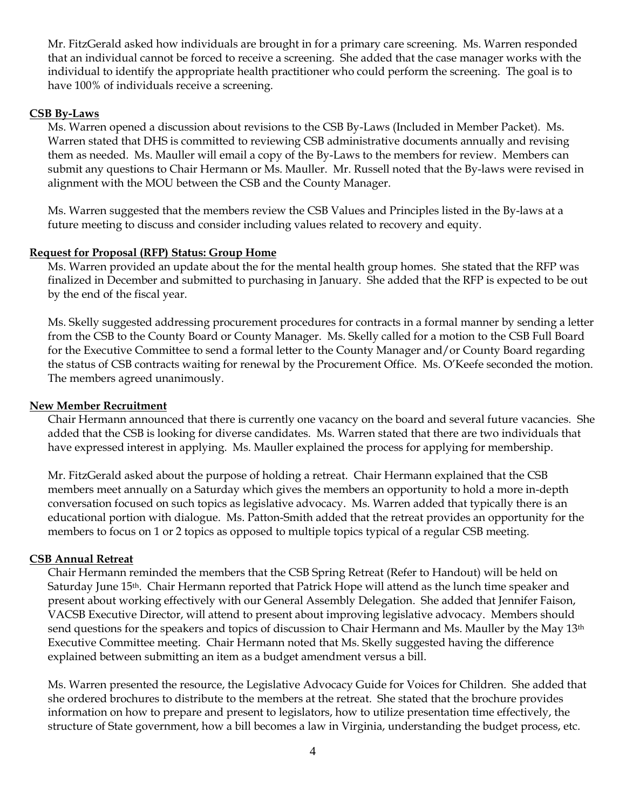Mr. FitzGerald asked how individuals are brought in for a primary care screening. Ms. Warren responded that an individual cannot be forced to receive a screening. She added that the case manager works with the individual to identify the appropriate health practitioner who could perform the screening. The goal is to have 100% of individuals receive a screening.

### **CSB By-Laws**

Ms. Warren opened a discussion about revisions to the CSB By-Laws (Included in Member Packet). Ms. Warren stated that DHS is committed to reviewing CSB administrative documents annually and revising them as needed. Ms. Mauller will email a copy of the By-Laws to the members for review. Members can submit any questions to Chair Hermann or Ms. Mauller. Mr. Russell noted that the By-laws were revised in alignment with the MOU between the CSB and the County Manager.

Ms. Warren suggested that the members review the CSB Values and Principles listed in the By-laws at a future meeting to discuss and consider including values related to recovery and equity.

### **Request for Proposal (RFP) Status: Group Home**

Ms. Warren provided an update about the for the mental health group homes. She stated that the RFP was finalized in December and submitted to purchasing in January. She added that the RFP is expected to be out by the end of the fiscal year.

Ms. Skelly suggested addressing procurement procedures for contracts in a formal manner by sending a letter from the CSB to the County Board or County Manager. Ms. Skelly called for a motion to the CSB Full Board for the Executive Committee to send a formal letter to the County Manager and/or County Board regarding the status of CSB contracts waiting for renewal by the Procurement Office. Ms. O'Keefe seconded the motion. The members agreed unanimously.

#### **New Member Recruitment**

Chair Hermann announced that there is currently one vacancy on the board and several future vacancies. She added that the CSB is looking for diverse candidates. Ms. Warren stated that there are two individuals that have expressed interest in applying. Ms. Mauller explained the process for applying for membership.

Mr. FitzGerald asked about the purpose of holding a retreat. Chair Hermann explained that the CSB members meet annually on a Saturday which gives the members an opportunity to hold a more in-depth conversation focused on such topics as legislative advocacy. Ms. Warren added that typically there is an educational portion with dialogue. Ms. Patton-Smith added that the retreat provides an opportunity for the members to focus on 1 or 2 topics as opposed to multiple topics typical of a regular CSB meeting.

#### **CSB Annual Retreat**

Chair Hermann reminded the members that the CSB Spring Retreat (Refer to Handout) will be held on Saturday June 15<sup>th</sup>. Chair Hermann reported that Patrick Hope will attend as the lunch time speaker and present about working effectively with our General Assembly Delegation. She added that Jennifer Faison, VACSB Executive Director, will attend to present about improving legislative advocacy. Members should send questions for the speakers and topics of discussion to Chair Hermann and Ms. Mauller by the May 13<sup>th</sup> Executive Committee meeting. Chair Hermann noted that Ms. Skelly suggested having the difference explained between submitting an item as a budget amendment versus a bill.

Ms. Warren presented the resource, the Legislative Advocacy Guide for Voices for Children. She added that she ordered brochures to distribute to the members at the retreat. She stated that the brochure provides information on how to prepare and present to legislators, how to utilize presentation time effectively, the structure of State government, how a bill becomes a law in Virginia, understanding the budget process, etc.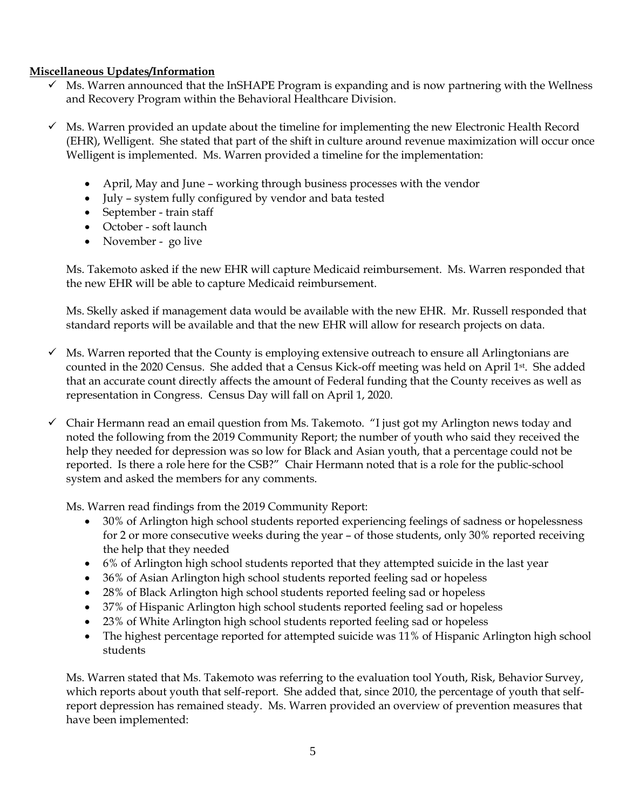# **Miscellaneous Updates/Information**

- $\checkmark$  Ms. Warren announced that the InSHAPE Program is expanding and is now partnering with the Wellness and Recovery Program within the Behavioral Healthcare Division.
- $\checkmark$  Ms. Warren provided an update about the timeline for implementing the new Electronic Health Record (EHR), Welligent. She stated that part of the shift in culture around revenue maximization will occur once Welligent is implemented. Ms. Warren provided a timeline for the implementation:
	- April, May and June working through business processes with the vendor
	- July system fully configured by vendor and bata tested
	- September train staff
	- October soft launch
	- November go live

Ms. Takemoto asked if the new EHR will capture Medicaid reimbursement. Ms. Warren responded that the new EHR will be able to capture Medicaid reimbursement.

Ms. Skelly asked if management data would be available with the new EHR. Mr. Russell responded that standard reports will be available and that the new EHR will allow for research projects on data.

- Ms. Warren reported that the County is employing extensive outreach to ensure all Arlingtonians are counted in the 2020 Census. She added that a Census Kick-off meeting was held on April 1<sup>st</sup>. She added that an accurate count directly affects the amount of Federal funding that the County receives as well as representation in Congress. Census Day will fall on April 1, 2020.
- $\checkmark$  Chair Hermann read an email question from Ms. Takemoto. "I just got my Arlington news today and noted the following from the 2019 Community Report; the number of youth who said they received the help they needed for depression was so low for Black and Asian youth, that a percentage could not be reported. Is there a role here for the CSB?" Chair Hermann noted that is a role for the public-school system and asked the members for any comments.

Ms. Warren read findings from the 2019 Community Report:

- 30% of Arlington high school students reported experiencing feelings of sadness or hopelessness for 2 or more consecutive weeks during the year – of those students, only 30% reported receiving the help that they needed
- 6% of Arlington high school students reported that they attempted suicide in the last year
- 36% of Asian Arlington high school students reported feeling sad or hopeless
- 28% of Black Arlington high school students reported feeling sad or hopeless
- 37% of Hispanic Arlington high school students reported feeling sad or hopeless
- 23% of White Arlington high school students reported feeling sad or hopeless
- The highest percentage reported for attempted suicide was 11% of Hispanic Arlington high school students

Ms. Warren stated that Ms. Takemoto was referring to the evaluation tool Youth, Risk, Behavior Survey, which reports about youth that self-report. She added that, since 2010, the percentage of youth that selfreport depression has remained steady. Ms. Warren provided an overview of prevention measures that have been implemented: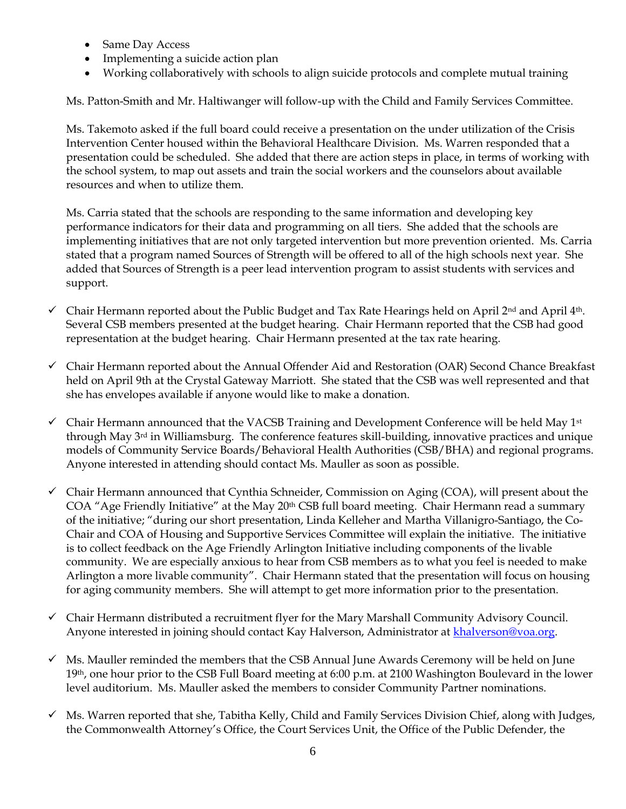- Same Day Access
- Implementing a suicide action plan
- Working collaboratively with schools to align suicide protocols and complete mutual training

Ms. Patton-Smith and Mr. Haltiwanger will follow-up with the Child and Family Services Committee.

Ms. Takemoto asked if the full board could receive a presentation on the under utilization of the Crisis Intervention Center housed within the Behavioral Healthcare Division. Ms. Warren responded that a presentation could be scheduled. She added that there are action steps in place, in terms of working with the school system, to map out assets and train the social workers and the counselors about available resources and when to utilize them.

Ms. Carria stated that the schools are responding to the same information and developing key performance indicators for their data and programming on all tiers. She added that the schools are implementing initiatives that are not only targeted intervention but more prevention oriented. Ms. Carria stated that a program named Sources of Strength will be offered to all of the high schools next year. She added that Sources of Strength is a peer lead intervention program to assist students with services and support.

- $\checkmark$  Chair Hermann reported about the Public Budget and Tax Rate Hearings held on April 2<sup>nd</sup> and April 4<sup>th</sup>. Several CSB members presented at the budget hearing. Chair Hermann reported that the CSB had good representation at the budget hearing. Chair Hermann presented at the tax rate hearing.
- ✓ Chair Hermann reported about the Annual Offender Aid and Restoration (OAR) Second Chance Breakfast held on April 9th at the Crystal Gateway Marriott. She stated that the CSB was well represented and that she has envelopes available if anyone would like to make a donation.
- $\checkmark$  Chair Hermann announced that the VACSB Training and Development Conference will be held May 1<sup>st</sup> through May 3rd in Williamsburg. The conference features skill-building, innovative practices and unique models of Community Service Boards/Behavioral Health Authorities (CSB/BHA) and regional programs. Anyone interested in attending should contact Ms. Mauller as soon as possible.
- $\checkmark$  Chair Hermann announced that Cynthia Schneider, Commission on Aging (COA), will present about the COA "Age Friendly Initiative" at the May 20<sup>th</sup> CSB full board meeting. Chair Hermann read a summary of the initiative; "during our short presentation, Linda Kelleher and Martha Villanigro-Santiago, the Co-Chair and COA of Housing and Supportive Services Committee will explain the initiative. The initiative is to collect feedback on the Age Friendly Arlington Initiative including components of the livable community. We are especially anxious to hear from CSB members as to what you feel is needed to make Arlington a more livable community". Chair Hermann stated that the presentation will focus on housing for aging community members. She will attempt to get more information prior to the presentation.
- ✓ Chair Hermann distributed a recruitment flyer for the Mary Marshall Community Advisory Council. Anyone interested in joining should contact Kay Halverson, Administrator at [khalverson@voa.org.](mailto:khalverson@voa.org)
- ✓ Ms. Mauller reminded the members that the CSB Annual June Awards Ceremony will be held on June 19th, one hour prior to the CSB Full Board meeting at 6:00 p.m. at 2100 Washington Boulevard in the lower level auditorium. Ms. Mauller asked the members to consider Community Partner nominations.
- ✓ Ms. Warren reported that she, Tabitha Kelly, Child and Family Services Division Chief, along with Judges, the Commonwealth Attorney's Office, the Court Services Unit, the Office of the Public Defender, the